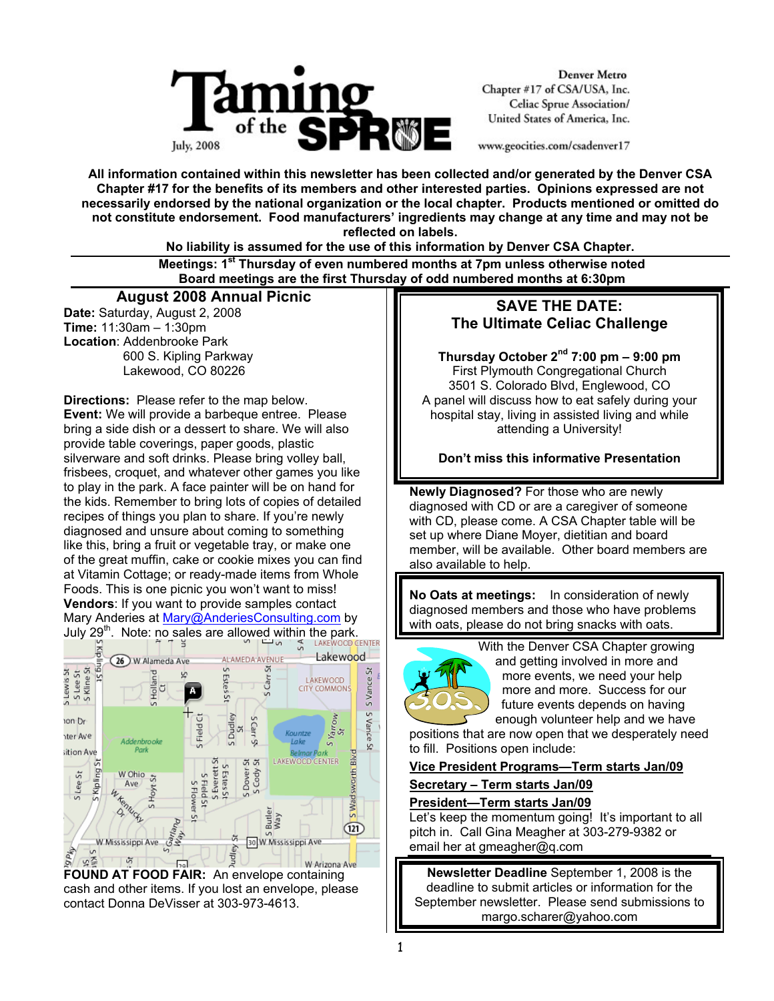

**Denver Metro** Chapter #17 of CSA/USA, Inc. **Celiac Sprue Association/** United States of America, Inc.

www.geocities.com/csadenver17

**All information contained within this newsletter has been collected and/or generated by the Denver CSA Chapter #17 for the benefits of its members and other interested parties. Opinions expressed are not necessarily endorsed by the national organization or the local chapter. Products mentioned or omitted do not constitute endorsement. Food manufacturers' ingredients may change at any time and may not be reflected on labels.** 

**No liability is assumed for the use of this information by Denver CSA Chapter.** 

 **Meetings: 1st Thursday of even numbered months at 7pm unless otherwise noted Board meetings are the first Thursday of odd numbered months at 6:30pm**

## **August 2008 Annual Picnic**

**Date:** Saturday, August 2, 2008 **Time:** 11:30am – 1:30pm **Location**: Addenbrooke Park 600 S. Kipling Parkway Lakewood, CO 80226

**Directions:** Please refer to the map below. **Event:** We will provide a barbeque entree. Please bring a side dish or a dessert to share. We will also provide table coverings, paper goods, plastic silverware and soft drinks. Please bring volley ball, frisbees, croquet, and whatever other games you like to play in the park. A face painter will be on hand for the kids. Remember to bring lots of copies of detailed recipes of things you plan to share. If you're newly diagnosed and unsure about coming to something like this, bring a fruit or vegetable tray, or make one of the great muffin, cake or cookie mixes you can find at Vitamin Cottage; or ready-made items from Whole Foods. This is one picnic you won't want to miss! **Vendors**: If you want to provide samples contact Mary Anderies at Mary@AnderiesConsulting.com by



**FOUND AT FOOD FAIR:** An envelope containing cash and other items. If you lost an envelope, please contact Donna DeVisser at 303-973-4613.

# **SAVE THE DATE: The Ultimate Celiac Challenge**

**Thursday October 2nd 7:00 pm – 9:00 pm**  First Plymouth Congregational Church 3501 S. Colorado Blvd, Englewood, CO A panel will discuss how to eat safely during your hospital stay, living in assisted living and while attending a University!

## **Don't miss this informative Presentation**

**Newly Diagnosed?** For those who are newly diagnosed with CD or are a caregiver of someone with CD, please come. A CSA Chapter table will be set up where Diane Moyer, dietitian and board member, will be available. Other board members are also available to help.

**No Oats at meetings:** In consideration of newly diagnosed members and those who have problems with oats, please do not bring snacks with oats.



With the Denver CSA Chapter growing and getting involved in more and more events, we need your help more and more. Success for our future events depends on having enough volunteer help and we have

positions that are now open that we desperately need to fill. Positions open include:

## **Vice President Programs—Term starts Jan/09**

### **Secretary – Term starts Jan/09**

### **President—Term starts Jan/09**

Let's keep the momentum going! It's important to all pitch in. Call Gina Meagher at 303-279-9382 or email her at gmeagher@q.com

**Newsletter Deadline** September 1, 2008 is the deadline to submit articles or information for the September newsletter. Please send submissions to margo.scharer@yahoo.com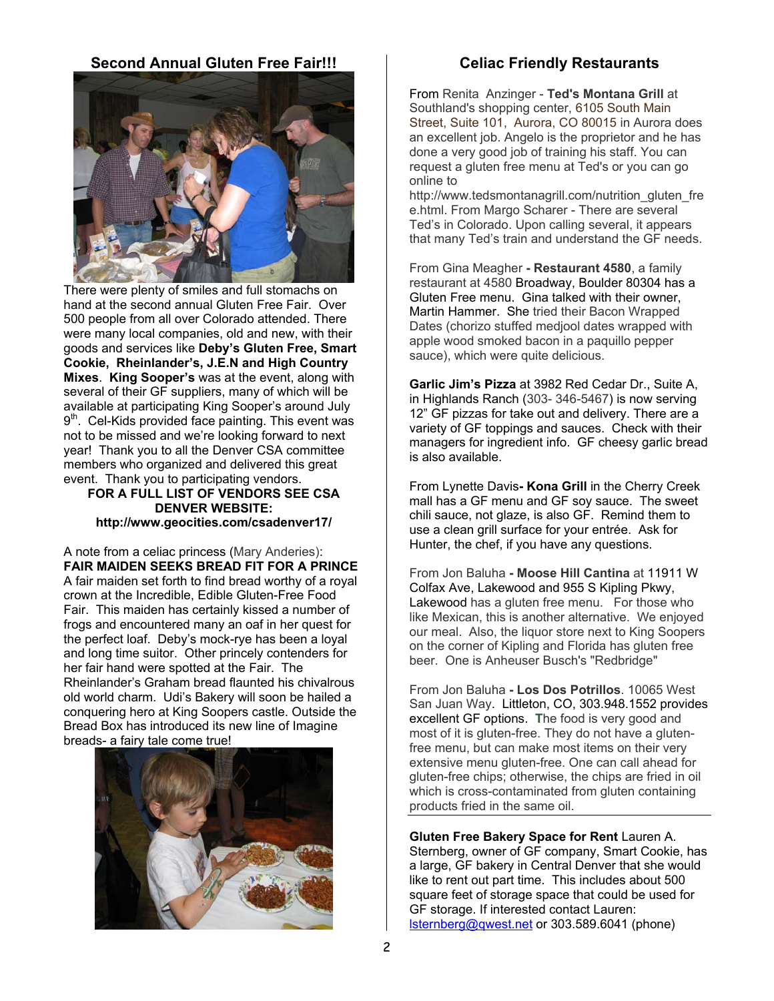## **Second Annual Gluten Free Fair!!!**



There were plenty of smiles and full stomachs on hand at the second annual Gluten Free Fair. Over 500 people from all over Colorado attended. There were many local companies, old and new, with their goods and services like **Deby's Gluten Free, Smart Cookie, Rheinlander's, J.E.N and High Country Mixes**. **King Sooper's** was at the event, along with several of their GF suppliers, many of which will be available at participating King Sooper's around July  $9<sup>th</sup>$ . Cel-Kids provided face painting. This event was not to be missed and we're looking forward to next year! Thank you to all the Denver CSA committee members who organized and delivered this great event. Thank you to participating vendors.

### **FOR A FULL LIST OF VENDORS SEE CSA DENVER WEBSITE: http://www.geocities.com/csadenver17/**

A note from a celiac princess (Mary Anderies): **FAIR MAIDEN SEEKS BREAD FIT FOR A PRINCE**  A fair maiden set forth to find bread worthy of a royal crown at the Incredible, Edible Gluten-Free Food Fair. This maiden has certainly kissed a number of frogs and encountered many an oaf in her quest for the perfect loaf. Deby's mock-rye has been a loyal and long time suitor. Other princely contenders for her fair hand were spotted at the Fair. The Rheinlander's Graham bread flaunted his chivalrous old world charm. Udi's Bakery will soon be hailed a conquering hero at King Soopers castle. Outside the Bread Box has introduced its new line of Imagine breads- a fairy tale come true!



## **Celiac Friendly Restaurants**

From Renita Anzinger - **Ted's Montana Grill** at Southland's shopping center, 6105 South Main Street, Suite 101, Aurora, CO 80015 in Aurora does an excellent job. Angelo is the proprietor and he has done a very good job of training his staff. You can request a gluten free menu at Ted's or you can go online to

http://www.tedsmontanagrill.com/nutrition\_gluten\_fre e.html. From Margo Scharer - There are several Ted's in Colorado. Upon calling several, it appears that many Ted's train and understand the GF needs.

From Gina Meagher **- Restaurant 4580**, a family restaurant at 4580 Broadway, Boulder 80304 has a Gluten Free menu. Gina talked with their owner, Martin Hammer. She tried their Bacon Wrapped Dates (chorizo stuffed medjool dates wrapped with apple wood smoked bacon in a paquillo pepper sauce), which were quite delicious.

**Garlic Jim's Pizza** at 3982 Red Cedar Dr., Suite A, in Highlands Ranch (303- 346-5467) is now serving 12" GF pizzas for take out and delivery. There are a variety of GF toppings and sauces. Check with their managers for ingredient info. GF cheesy garlic bread is also available.

From Lynette Davis**- Kona Grill** in the Cherry Creek mall has a GF menu and GF soy sauce. The sweet chili sauce, not glaze, is also GF. Remind them to use a clean grill surface for your entrée. Ask for Hunter, the chef, if you have any questions.

From Jon Baluha **- Moose Hill Cantina** at 11911 W Colfax Ave, Lakewood and 955 S Kipling Pkwy, Lakewood has a gluten free menu. For those who like Mexican, this is another alternative. We enjoyed our meal. Also, the liquor store next to King Soopers on the corner of Kipling and Florida has gluten free beer. One is Anheuser Busch's "Redbridge"

From Jon Baluha **- Los Dos Potrillos**. 10065 West San Juan Way. Littleton, CO, 303.948.1552 provides excellent GF options. **T**he food is very good and most of it is gluten-free. They do not have a glutenfree menu, but can make most items on their very extensive menu gluten-free. One can call ahead for gluten-free chips; otherwise, the chips are fried in oil which is cross-contaminated from gluten containing products fried in the same oil.

**Gluten Free Bakery Space for Rent** Lauren A. Sternberg, owner of GF company, Smart Cookie, has a large, GF bakery in Central Denver that she would like to rent out part time. This includes about 500 square feet of storage space that could be used for GF storage. If interested contact Lauren: lsternberg@qwest.net or 303.589.6041 (phone)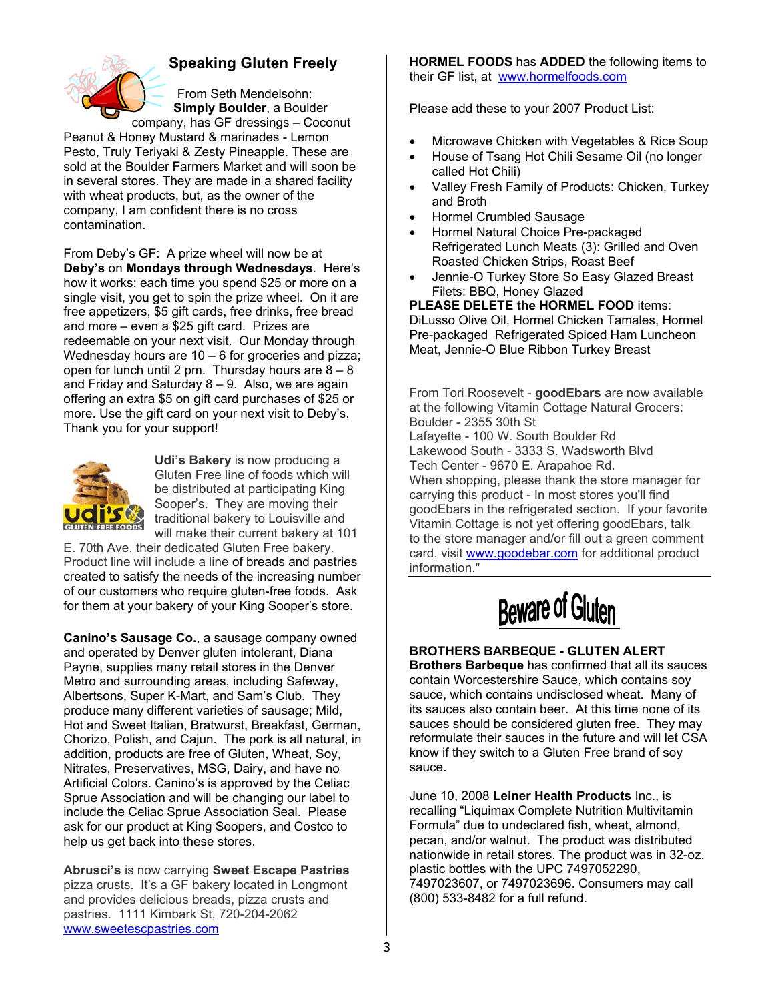

# **Speaking Gluten Freely**

From Seth Mendelsohn: **Simply Boulder**, a Boulder company, has GF dressings – Coconut

Peanut & Honey Mustard & marinades - Lemon Pesto, Truly Teriyaki & Zesty Pineapple. These are sold at the Boulder Farmers Market and will soon be in several stores. They are made in a shared facility with wheat products, but, as the owner of the company, I am confident there is no cross contamination.

From Deby's GF: A prize wheel will now be at **Deby's** on **Mondays through Wednesdays**. Here's how it works: each time you spend \$25 or more on a single visit, you get to spin the prize wheel. On it are free appetizers, \$5 gift cards, free drinks, free bread and more – even a \$25 gift card. Prizes are redeemable on your next visit. Our Monday through Wednesday hours are 10 – 6 for groceries and pizza; open for lunch until 2 pm. Thursday hours are  $8 - 8$ and Friday and Saturday  $8 - 9$ . Also, we are again offering an extra \$5 on gift card purchases of \$25 or more. Use the gift card on your next visit to Deby's. Thank you for your support!



**Udi's Bakery** is now producing a Gluten Free line of foods which will be distributed at participating King Sooper's. They are moving their traditional bakery to Louisville and will make their current bakery at 101

E. 70th Ave. their dedicated Gluten Free bakery. Product line will include a line of breads and pastries created to satisfy the needs of the increasing number of our customers who require gluten-free foods. Ask for them at your bakery of your King Sooper's store.

**Canino's Sausage Co.**, a sausage company owned and operated by Denver gluten intolerant, Diana Payne, supplies many retail stores in the Denver Metro and surrounding areas, including Safeway, Albertsons, Super K-Mart, and Sam's Club. They produce many different varieties of sausage; Mild, Hot and Sweet Italian, Bratwurst, Breakfast, German, Chorizo, Polish, and Cajun. The pork is all natural, in addition, products are free of Gluten, Wheat, Soy, Nitrates, Preservatives, MSG, Dairy, and have no Artificial Colors. Canino's is approved by the Celiac Sprue Association and will be changing our label to include the Celiac Sprue Association Seal. Please ask for our product at King Soopers, and Costco to help us get back into these stores.

**Abrusci's** is now carrying **Sweet Escape Pastries** pizza crusts. It's a GF bakery located in Longmont and provides delicious breads, pizza crusts and pastries. 1111 Kimbark St, 720-204-2062 www.sweetescpastries.com

**HORMEL FOODS** has **ADDED** the following items to their GF list, at www.hormelfoods.com

Please add these to your 2007 Product List:

- Microwave Chicken with Vegetables & Rice Soup
- House of Tsang Hot Chili Sesame Oil (no longer called Hot Chili)
- Valley Fresh Family of Products: Chicken, Turkey and Broth
- Hormel Crumbled Sausage
- Hormel Natural Choice Pre-packaged Refrigerated Lunch Meats (3): Grilled and Oven Roasted Chicken Strips, Roast Beef
- Jennie-O Turkey Store So Easy Glazed Breast Filets: BBQ, Honey Glazed

**PLEASE DELETE the HORMEL FOOD** items: DiLusso Olive Oil, Hormel Chicken Tamales, Hormel Pre-packaged Refrigerated Spiced Ham Luncheon Meat, Jennie-O Blue Ribbon Turkey Breast

From Tori Roosevelt - **goodEbars** are now available at the following Vitamin Cottage Natural Grocers: Boulder - 2355 30th St Lafayette - 100 W. South Boulder Rd Lakewood South - 3333 S. Wadsworth Blvd Tech Center - 9670 E. Arapahoe Rd. When shopping, please thank the store manager for carrying this product - In most stores you'll find goodEbars in the refrigerated section. If your favorite Vitamin Cottage is not yet offering goodEbars, talk to the store manager and/or fill out a green comment card. visit www.goodebar.com for additional product information."



## **BROTHERS BARBEQUE - GLUTEN ALERT**

**Brothers Barbeque** has confirmed that all its sauces contain Worcestershire Sauce, which contains soy sauce, which contains undisclosed wheat. Many of its sauces also contain beer. At this time none of its sauces should be considered gluten free. They may reformulate their sauces in the future and will let CSA know if they switch to a Gluten Free brand of soy sauce.

June 10, 2008 **Leiner Health Products** Inc., is recalling "Liquimax Complete Nutrition Multivitamin Formula" due to undeclared fish, wheat, almond, pecan, and/or walnut. The product was distributed nationwide in retail stores. The product was in 32-oz. plastic bottles with the UPC 7497052290, 7497023607, or 7497023696. Consumers may call (800) 533-8482 for a full refund.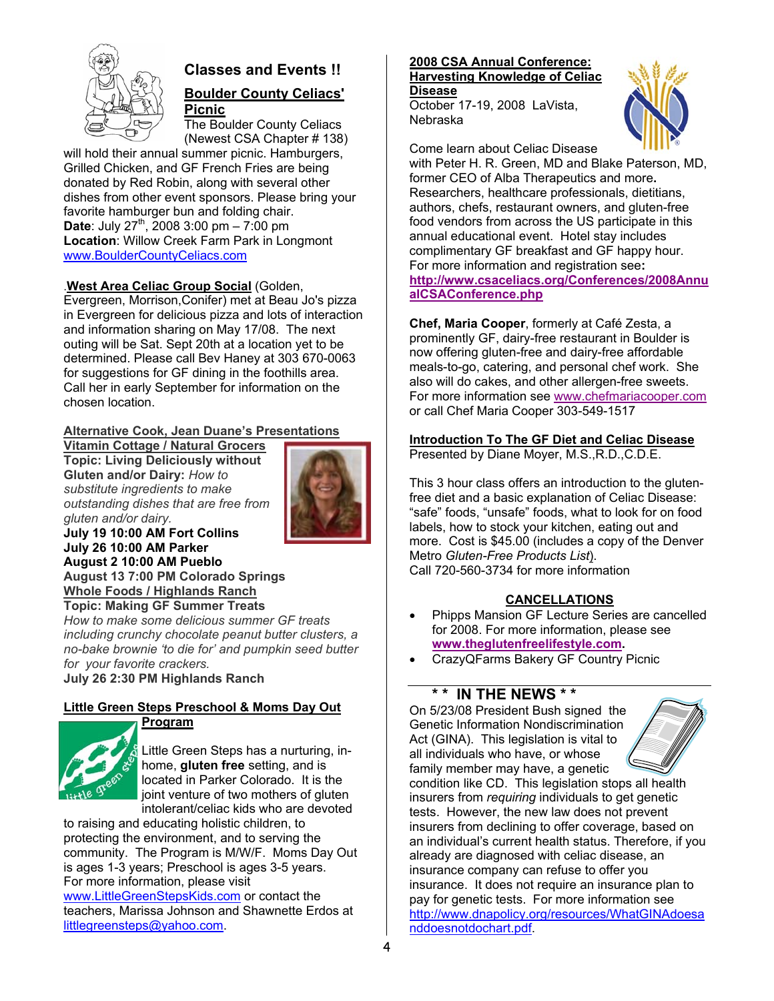

# **Classes and Events !!**

### **Boulder County Celiacs' Picnic**

The Boulder County Celiacs (Newest CSA Chapter # 138)

will hold their annual summer picnic. Hamburgers, Grilled Chicken, and GF French Fries are being donated by Red Robin, along with several other dishes from other event sponsors. Please bring your favorite hamburger bun and folding chair. **Date:** July  $27^{th}$ , 2008 3:00 pm – 7:00 pm **Location**: Willow Creek Farm Park in Longmont www.BoulderCountyCeliacs.com

## .**West Area Celiac Group Social** (Golden,

Evergreen, Morrison,Conifer) met at Beau Jo's pizza in Evergreen for delicious pizza and lots of interaction and information sharing on May 17/08. The next outing will be Sat. Sept 20th at a location yet to be determined. Please call Bev Haney at 303 670-0063 for suggestions for GF dining in the foothills area. Call her in early September for information on the chosen location.

## **Alternative Cook, Jean Duane's Presentations**

**Vitamin Cottage / Natural Grocers Topic: Living Deliciously without Gluten and/or Dairy:** *How to substitute ingredients to make outstanding dishes that are free from gluten and/or dairy.*  **July 19 10:00 AM Fort Collins**



**July 26 10:00 AM Parker August 2 10:00 AM Pueblo August 13 7:00 PM Colorado Springs Whole Foods / Highlands Ranch Topic: Making GF Summer Treats**

*How to make some delicious summer GF treats including crunchy chocolate peanut butter clusters, a no-bake brownie 'to die for' and pumpkin seed butter for your favorite crackers.*  **July 26 2:30 PM Highlands Ranch** 

### **Little Green Steps Preschool & Moms Day Out Program**



Little Green Steps has a nurturing, inhome, **gluten free** setting, and is located in Parker Colorado. It is the joint venture of two mothers of gluten intolerant/celiac kids who are devoted

to raising and educating holistic children, to protecting the environment, and to serving the community. The Program is M/W/F. Moms Day Out is ages 1-3 years; Preschool is ages 3-5 years. For more information, please visit www.LittleGreenStepsKids.com or contact the teachers, Marissa Johnson and Shawnette Erdos at littlegreensteps@yahoo.com.

## **2008 CSA Annual Conference: Harvesting Knowledge of Celiac**

**Disease** October 17-19, 2008 LaVista, Nebraska



Come learn about Celiac Disease with Peter H. R. Green, MD and Blake Paterson, MD, former CEO of Alba Therapeutics and more**.**  Researchers, healthcare professionals, dietitians, authors, chefs, restaurant owners, and gluten-free food vendors from across the US participate in this annual educational event. Hotel stay includes complimentary GF breakfast and GF happy hour. For more information and registration see**: http://www.csaceliacs.org/Conferences/2008Annu alCSAConference.php**

**Chef, Maria Cooper**, formerly at Café Zesta, a prominently GF, dairy-free restaurant in Boulder is now offering gluten-free and dairy-free affordable meals-to-go, catering, and personal chef work. She also will do cakes, and other allergen-free sweets. For more information see www.chefmariacooper.com or call Chef Maria Cooper 303-549-1517

### **Introduction To The GF Diet and Celiac Disease** Presented by Diane Moyer, M.S.,R.D.,C.D.E.

This 3 hour class offers an introduction to the glutenfree diet and a basic explanation of Celiac Disease: "safe" foods, "unsafe" foods, what to look for on food labels, how to stock your kitchen, eating out and more. Cost is \$45.00 (includes a copy of the Denver Metro *Gluten-Free Products List*). Call 720-560-3734 for more information

## **CANCELLATIONS**

- Phipps Mansion GF Lecture Series are cancelled for 2008. For more information, please see **www.theglutenfreelifestyle.com.**
- CrazyQFarms Bakery GF Country Picnic

## **\* \* IN THE NEWS \* \***

On 5/23/08 President Bush signed the Genetic Information Nondiscrimination Act (GINA). This legislation is vital to all individuals who have, or whose family member may have, a genetic



condition like CD. This legislation stops all health insurers from *requiring* individuals to get genetic tests. However, the new law does not prevent insurers from declining to offer coverage, based on an individual's current health status. Therefore, if you already are diagnosed with celiac disease, an insurance company can refuse to offer you insurance. It does not require an insurance plan to pay for genetic tests. For more information see http://www.dnapolicy.org/resources/WhatGINAdoesa nddoesnotdochart.pdf.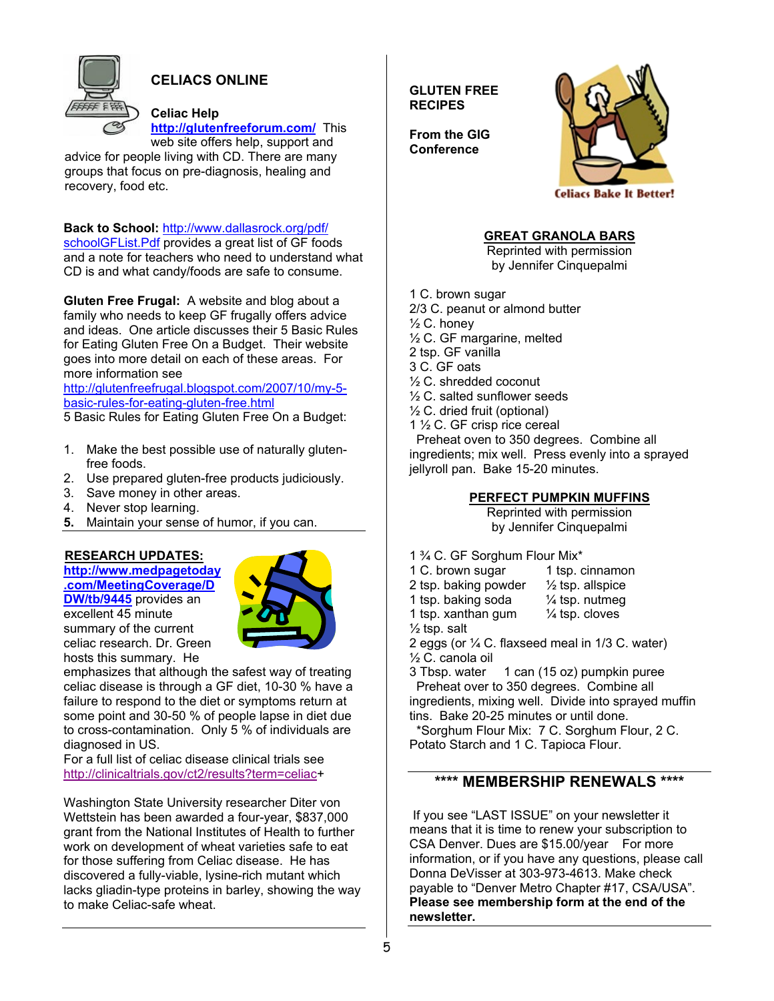

# **CELIACS ONLINE**

### **Celiac Help**

**http://glutenfreeforum.com/** This web site offers help, support and

advice for people living with CD. There are many groups that focus on pre-diagnosis, healing and recovery, food etc.

**Back to School:** http://www.dallasrock.org/pdf/ schoolGFList.Pdf provides a great list of GF foods and a note for teachers who need to understand what CD is and what candy/foods are safe to consume.

**Gluten Free Frugal:** A website and blog about a family who needs to keep GF frugally offers advice and ideas. One article discusses their 5 Basic Rules for Eating Gluten Free On a Budget. Their website goes into more detail on each of these areas. For more information see

http://glutenfreefrugal.blogspot.com/2007/10/my-5 basic-rules-for-eating-gluten-free.html

5 Basic Rules for Eating Gluten Free On a Budget:

- 1. Make the best possible use of naturally glutenfree foods.
- 2. Use prepared gluten-free products judiciously.
- 3. Save money in other areas.
- 4. Never stop learning.
- **5.** Maintain your sense of humor, if you can.

## **RESEARCH UPDATES:**

**http://www.medpagetoday .com/MeetingCoverage/D DW/tb/9445** provides an

excellent 45 minute summary of the current celiac research. Dr. Green hosts this summary. He



emphasizes that although the safest way of treating celiac disease is through a GF diet, 10-30 % have a failure to respond to the diet or symptoms return at some point and 30-50 % of people lapse in diet due to cross-contamination. Only 5 % of individuals are diagnosed in US.

For a full list of celiac disease clinical trials see http://clinicaltrials.gov/ct2/results?term=celiac+

Washington State University researcher Diter von Wettstein has been awarded a four-year, \$837,000 grant from the National Institutes of Health to further work on development of wheat varieties safe to eat for those suffering from Celiac disease. He has discovered a fully-viable, lysine-rich mutant which lacks gliadin-type proteins in barley, showing the way to make Celiac-safe wheat.

**GLUTEN FREE RECIPES** 



**From the GIG Conference** 

**GREAT GRANOLA BARS**

Reprinted with permission by Jennifer Cinquepalmi

1 C. brown sugar

- 2/3 C. peanut or almond butter
- $\frac{1}{2}$  C. honey
- ½ C. GF margarine, melted
- 2 tsp. GF vanilla
- 3 C. GF oats
- ½ C. shredded coconut
- ½ C. salted sunflower seeds
- ½ C. dried fruit (optional)
- 1 ½ C. GF crisp rice cereal

 Preheat oven to 350 degrees. Combine all ingredients; mix well. Press evenly into a sprayed jellyroll pan. Bake 15-20 minutes.

### **PERFECT PUMPKIN MUFFINS**

Reprinted with permission by Jennifer Cinquepalmi

- 1 ¾ C. GF Sorghum Flour Mix\*
- 1 C. brown sugar 1 tsp. cinnamon
- 2 tsp. baking powder  $\frac{1}{2}$  tsp. allspice
- 1 tsp. baking soda  $\frac{1}{4}$  tsp. nutmeg
- 1 tsp. xanthan gum  $\frac{1}{4}$  tsp. cloves
- $\frac{1}{2}$  tsp. salt
- 2 eggs (or ¼ C. flaxseed meal in 1/3 C. water)

% C. canola oil<br>3 Tbsp. water

1 can (15 oz) pumpkin puree Preheat over to 350 degrees. Combine all ingredients, mixing well. Divide into sprayed muffin tins. Bake 20-25 minutes or until done.

 \*Sorghum Flour Mix: 7 C. Sorghum Flour, 2 C. Potato Starch and 1 C. Tapioca Flour.

## **\*\*\*\* MEMBERSHIP RENEWALS \*\*\*\***

 If you see "LAST ISSUE" on your newsletter it means that it is time to renew your subscription to CSA Denver. Dues are \$15.00/year For more information, or if you have any questions, please call Donna DeVisser at 303-973-4613. Make check payable to "Denver Metro Chapter #17, CSA/USA". **Please see membership form at the end of the newsletter.**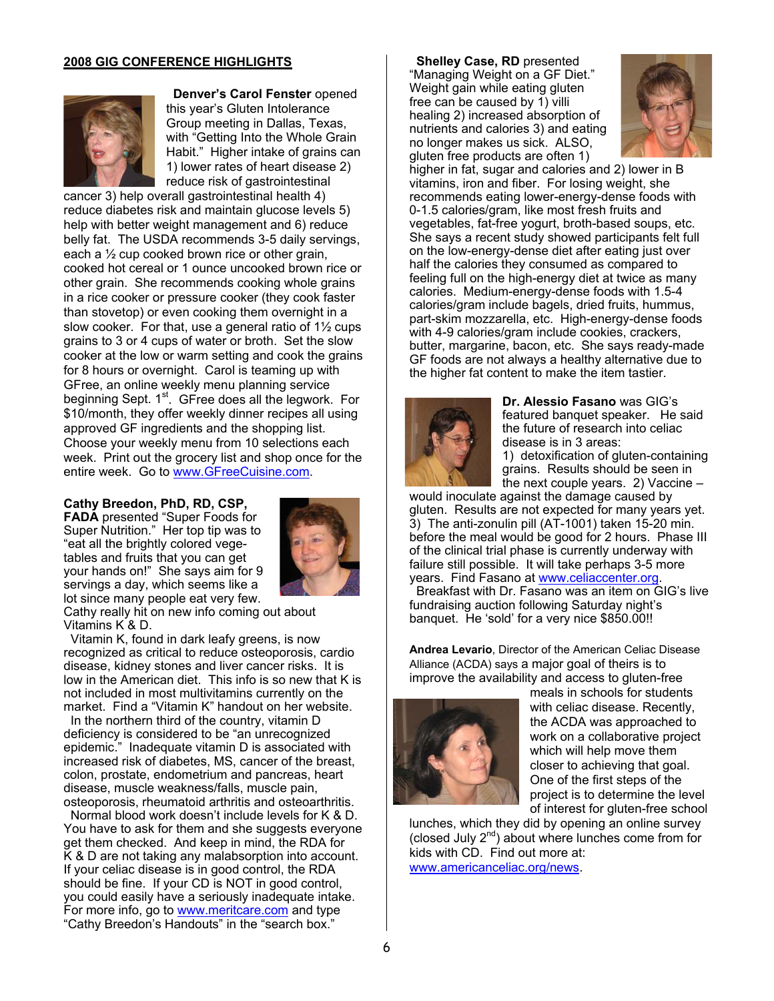### **2008 GIG CONFERENCE HIGHLIGHTS**



 **Denver's Carol Fenster** opened this year's Gluten Intolerance Group meeting in Dallas, Texas, with "Getting Into the Whole Grain Habit." Higher intake of grains can 1) lower rates of heart disease 2) reduce risk of gastrointestinal

cancer 3) help overall gastrointestinal health 4) reduce diabetes risk and maintain glucose levels 5) help with better weight management and 6) reduce belly fat. The USDA recommends 3-5 daily servings, each a ½ cup cooked brown rice or other grain, cooked hot cereal or 1 ounce uncooked brown rice or other grain. She recommends cooking whole grains in a rice cooker or pressure cooker (they cook faster than stovetop) or even cooking them overnight in a slow cooker. For that, use a general ratio of 1½ cups grains to 3 or 4 cups of water or broth. Set the slow cooker at the low or warm setting and cook the grains for 8 hours or overnight. Carol is teaming up with GFree, an online weekly menu planning service beginning Sept. 1<sup>st</sup>. GFree does all the legwork. For \$10/month, they offer weekly dinner recipes all using approved GF ingredients and the shopping list. Choose your weekly menu from 10 selections each week. Print out the grocery list and shop once for the entire week. Go to www.GFreeCuisine.com.

### **Cathy Breedon, PhD, RD, CSP,**

**FADA** presented "Super Foods for Super Nutrition." Her top tip was to "eat all the brightly colored vegetables and fruits that you can get your hands on!" She says aim for 9 servings a day, which seems like a lot since many people eat very few.



Cathy really hit on new info coming out about Vitamins K & D.

 Vitamin K, found in dark leafy greens, is now recognized as critical to reduce osteoporosis, cardio disease, kidney stones and liver cancer risks. It is low in the American diet. This info is so new that K is not included in most multivitamins currently on the market. Find a "Vitamin K" handout on her website.

 In the northern third of the country, vitamin D deficiency is considered to be "an unrecognized epidemic." Inadequate vitamin D is associated with increased risk of diabetes, MS, cancer of the breast, colon, prostate, endometrium and pancreas, heart disease, muscle weakness/falls, muscle pain, osteoporosis, rheumatoid arthritis and osteoarthritis.

 Normal blood work doesn't include levels for K & D. You have to ask for them and she suggests everyone get them checked. And keep in mind, the RDA for K & D are not taking any malabsorption into account. If your celiac disease is in good control, the RDA should be fine. If your CD is NOT in good control, you could easily have a seriously inadequate intake. For more info, go to www.meritcare.com and type "Cathy Breedon's Handouts" in the "search box."

### **Shelley Case, RD** presented

"Managing Weight on a GF Diet." Weight gain while eating gluten free can be caused by 1) villi healing 2) increased absorption of nutrients and calories 3) and eating no longer makes us sick. ALSO, gluten free products are often 1)



higher in fat, sugar and calories and 2) lower in B vitamins, iron and fiber. For losing weight, she recommends eating lower-energy-dense foods with 0-1.5 calories/gram, like most fresh fruits and vegetables, fat-free yogurt, broth-based soups, etc. She says a recent study showed participants felt full on the low-energy-dense diet after eating just over half the calories they consumed as compared to feeling full on the high-energy diet at twice as many calories. Medium-energy-dense foods with 1.5-4 calories/gram include bagels, dried fruits, hummus, part-skim mozzarella, etc. High-energy-dense foods with 4-9 calories/gram include cookies, crackers, butter, margarine, bacon, etc. She says ready-made GF foods are not always a healthy alternative due to the higher fat content to make the item tastier.



**Dr. Alessio Fasano** was GIG's featured banquet speaker. He said the future of research into celiac disease is in 3 areas: 1) detoxification of gluten-containing grains. Results should be seen in the next couple years. 2) Vaccine –

would inoculate against the damage caused by gluten. Results are not expected for many years yet. 3) The anti-zonulin pill (AT-1001) taken 15-20 min. before the meal would be good for 2 hours. Phase III of the clinical trial phase is currently underway with failure still possible. It will take perhaps 3-5 more years. Find Fasano at www.celiaccenter.org.

 Breakfast with Dr. Fasano was an item on GIG's live fundraising auction following Saturday night's banquet. He 'sold' for a very nice \$850.00!!

**Andrea Levario**, Director of the American Celiac Disease Alliance (ACDA) says a major goal of theirs is to improve the availability and access to gluten-free



meals in schools for students with celiac disease. Recently, the ACDA was approached to work on a collaborative project which will help move them closer to achieving that goal. One of the first steps of the project is to determine the level of interest for gluten-free school

lunches, which they did by opening an online survey (closed July  $2^{nd}$ ) about where lunches come from for kids with CD. Find out more at: www.americanceliac.org/news.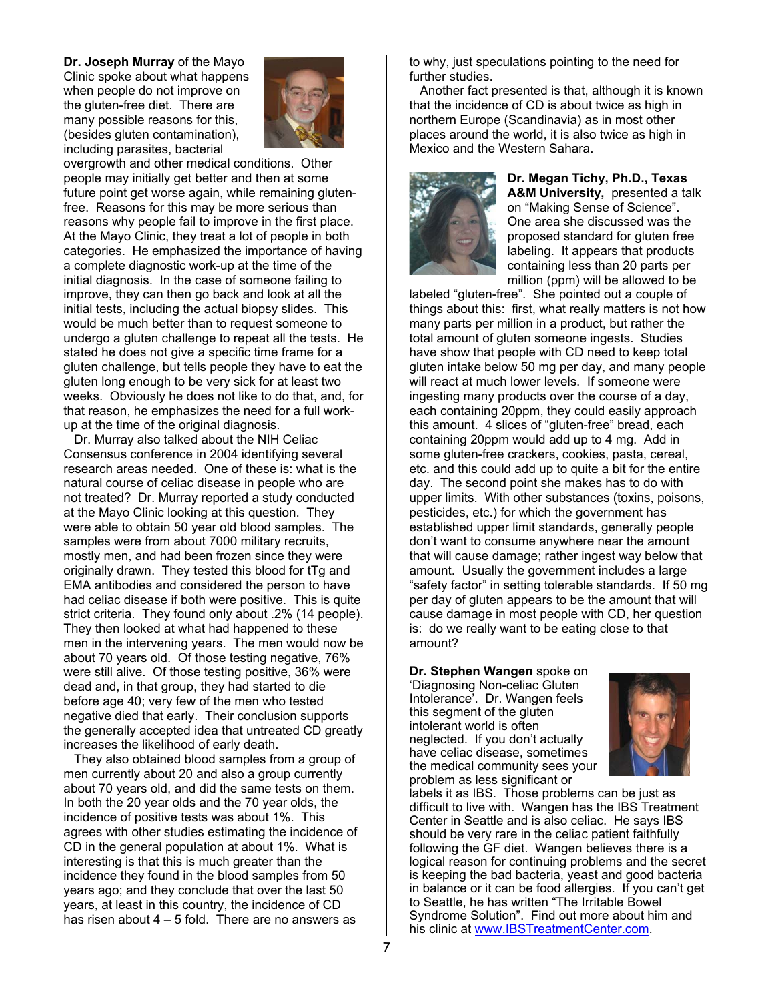**Dr. Joseph Murray** of the Mayo Clinic spoke about what happens when people do not improve on the gluten-free diet. There are many possible reasons for this, (besides gluten contamination), including parasites, bacterial



overgrowth and other medical conditions. Other people may initially get better and then at some future point get worse again, while remaining glutenfree. Reasons for this may be more serious than reasons why people fail to improve in the first place. At the Mayo Clinic, they treat a lot of people in both categories. He emphasized the importance of having a complete diagnostic work-up at the time of the initial diagnosis. In the case of someone failing to improve, they can then go back and look at all the initial tests, including the actual biopsy slides. This would be much better than to request someone to undergo a gluten challenge to repeat all the tests. He stated he does not give a specific time frame for a gluten challenge, but tells people they have to eat the gluten long enough to be very sick for at least two weeks. Obviously he does not like to do that, and, for that reason, he emphasizes the need for a full workup at the time of the original diagnosis.

 Dr. Murray also talked about the NIH Celiac Consensus conference in 2004 identifying several research areas needed. One of these is: what is the natural course of celiac disease in people who are not treated? Dr. Murray reported a study conducted at the Mayo Clinic looking at this question. They were able to obtain 50 year old blood samples. The samples were from about 7000 military recruits, mostly men, and had been frozen since they were originally drawn. They tested this blood for tTg and EMA antibodies and considered the person to have had celiac disease if both were positive. This is quite strict criteria. They found only about .2% (14 people). They then looked at what had happened to these men in the intervening years. The men would now be about 70 years old. Of those testing negative, 76% were still alive. Of those testing positive, 36% were dead and, in that group, they had started to die before age 40; very few of the men who tested negative died that early. Their conclusion supports the generally accepted idea that untreated CD greatly increases the likelihood of early death.

 They also obtained blood samples from a group of men currently about 20 and also a group currently about 70 years old, and did the same tests on them. In both the 20 year olds and the 70 year olds, the incidence of positive tests was about 1%. This agrees with other studies estimating the incidence of CD in the general population at about 1%. What is interesting is that this is much greater than the incidence they found in the blood samples from 50 years ago; and they conclude that over the last 50 years, at least in this country, the incidence of CD has risen about 4 – 5 fold. There are no answers as

to why, just speculations pointing to the need for further studies.

 Another fact presented is that, although it is known that the incidence of CD is about twice as high in northern Europe (Scandinavia) as in most other places around the world, it is also twice as high in Mexico and the Western Sahara.



**Dr. Megan Tichy, Ph.D., Texas A&M University,** presented a talk on "Making Sense of Science". One area she discussed was the proposed standard for gluten free labeling. It appears that products containing less than 20 parts per million (ppm) will be allowed to be

labeled "gluten-free". She pointed out a couple of things about this: first, what really matters is not how many parts per million in a product, but rather the total amount of gluten someone ingests. Studies have show that people with CD need to keep total gluten intake below 50 mg per day, and many people will react at much lower levels. If someone were ingesting many products over the course of a day, each containing 20ppm, they could easily approach this amount. 4 slices of "gluten-free" bread, each containing 20ppm would add up to 4 mg. Add in some gluten-free crackers, cookies, pasta, cereal, etc. and this could add up to quite a bit for the entire day. The second point she makes has to do with upper limits. With other substances (toxins, poisons, pesticides, etc.) for which the government has established upper limit standards, generally people don't want to consume anywhere near the amount that will cause damage; rather ingest way below that amount. Usually the government includes a large "safety factor" in setting tolerable standards. If 50 mg per day of gluten appears to be the amount that will cause damage in most people with CD, her question is: do we really want to be eating close to that amount?

### **Dr. Stephen Wangen** spoke on

'Diagnosing Non-celiac Gluten Intolerance'. Dr. Wangen feels this segment of the gluten intolerant world is often neglected. If you don't actually have celiac disease, sometimes the medical community sees your problem as less significant or



labels it as IBS. Those problems can be just as difficult to live with. Wangen has the IBS Treatment Center in Seattle and is also celiac. He says IBS should be very rare in the celiac patient faithfully following the GF diet. Wangen believes there is a logical reason for continuing problems and the secret is keeping the bad bacteria, yeast and good bacteria in balance or it can be food allergies. If you can't get to Seattle, he has written "The Irritable Bowel Syndrome Solution". Find out more about him and his clinic at www.IBSTreatmentCenter.com.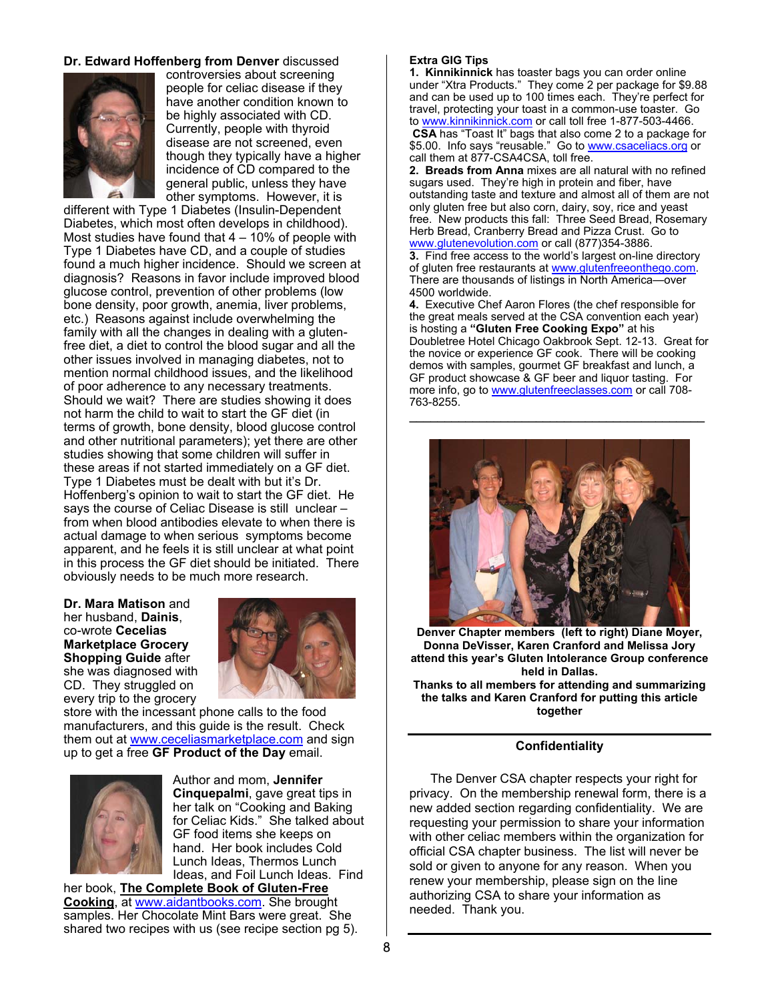### **Dr. Edward Hoffenberg from Denver** discussed



controversies about screening people for celiac disease if they have another condition known to be highly associated with CD. Currently, people with thyroid disease are not screened, even though they typically have a higher incidence of CD compared to the general public, unless they have other symptoms. However, it is

different with Type 1 Diabetes (Insulin-Dependent Diabetes, which most often develops in childhood). Most studies have found that  $4 - 10\%$  of people with Type 1 Diabetes have CD, and a couple of studies found a much higher incidence. Should we screen at diagnosis? Reasons in favor include improved blood glucose control, prevention of other problems (low bone density, poor growth, anemia, liver problems, etc.) Reasons against include overwhelming the family with all the changes in dealing with a glutenfree diet, a diet to control the blood sugar and all the other issues involved in managing diabetes, not to mention normal childhood issues, and the likelihood of poor adherence to any necessary treatments. Should we wait? There are studies showing it does not harm the child to wait to start the GF diet (in terms of growth, bone density, blood glucose control and other nutritional parameters); yet there are other studies showing that some children will suffer in these areas if not started immediately on a GF diet. Type 1 Diabetes must be dealt with but it's Dr. Hoffenberg's opinion to wait to start the GF diet. He says the course of Celiac Disease is still unclear – from when blood antibodies elevate to when there is actual damage to when serious symptoms become apparent, and he feels it is still unclear at what point in this process the GF diet should be initiated. There obviously needs to be much more research.

**Dr. Mara Matison** and her husband, **Dainis**, co-wrote **Cecelias Marketplace Grocery Shopping Guide** after she was diagnosed with CD. They struggled on every trip to the grocery



store with the incessant phone calls to the food manufacturers, and this guide is the result. Check them out at www.ceceliasmarketplace.com and sign up to get a free **GF Product of the Day** email.



Author and mom, **Jennifer Cinquepalmi**, gave great tips in her talk on "Cooking and Baking for Celiac Kids." She talked about GF food items she keeps on hand. Her book includes Cold Lunch Ideas, Thermos Lunch Ideas, and Foil Lunch Ideas. Find

her book, **The Complete Book of Gluten-Free Cooking**, at www.aidantbooks.com. She brought samples. Her Chocolate Mint Bars were great. She shared two recipes with us (see recipe section pg 5).

#### **Extra GIG Tips**

**1. Kinnikinnick** has toaster bags you can order online under "Xtra Products." They come 2 per package for \$9.88 and can be used up to 100 times each. They're perfect for travel, protecting your toast in a common-use toaster. Go to www.kinnikinnick.com or call toll free 1-877-503-4466.

**CSA** has "Toast It" bags that also come 2 to a package for \$5.00. Info says "reusable." Go to www.csaceliacs.org or call them at 877-CSA4CSA, toll free.

**2. Breads from Anna** mixes are all natural with no refined sugars used. They're high in protein and fiber, have outstanding taste and texture and almost all of them are not only gluten free but also corn, dairy, soy, rice and yeast free. New products this fall: Three Seed Bread, Rosemary Herb Bread, Cranberry Bread and Pizza Crust. Go to www.glutenevolution.com or call (877)354-3886.

**3.** Find free access to the world's largest on-line directory of gluten free restaurants at www.glutenfreeonthego.com. There are thousands of listings in North America—over 4500 worldwide.

**4.** Executive Chef Aaron Flores (the chef responsible for the great meals served at the CSA convention each year) is hosting a **"Gluten Free Cooking Expo"** at his Doubletree Hotel Chicago Oakbrook Sept. 12-13. Great for the novice or experience GF cook. There will be cooking demos with samples, gourmet GF breakfast and lunch, a GF product showcase & GF beer and liquor tasting. For more info, go to www.glutenfreeclasses.com or call 708-763-8255.  $\mathcal{L}_\text{max}$  and  $\mathcal{L}_\text{max}$  and  $\mathcal{L}_\text{max}$  and  $\mathcal{L}_\text{max}$ 



**Denver Chapter members (left to right) Diane Moyer, Donna DeVisser, Karen Cranford and Melissa Jory attend this year's Gluten Intolerance Group conference held in Dallas.** 

**Thanks to all members for attending and summarizing the talks and Karen Cranford for putting this article together**

#### **Confidentiality**

The Denver CSA chapter respects your right for privacy. On the membership renewal form, there is a new added section regarding confidentiality. We are requesting your permission to share your information with other celiac members within the organization for official CSA chapter business. The list will never be sold or given to anyone for any reason. When you renew your membership, please sign on the line authorizing CSA to share your information as needed. Thank you.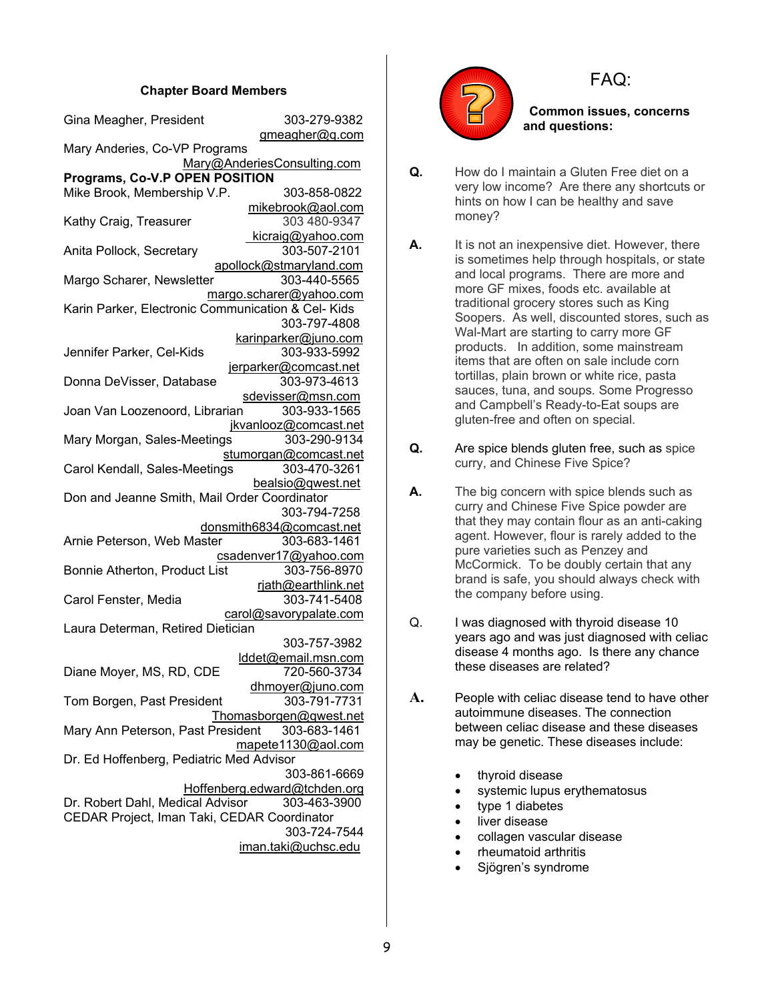### **Chapter Board Members**

| Gina Meagher, President                                       | 303-279-9382                        |  |  |  |
|---------------------------------------------------------------|-------------------------------------|--|--|--|
| Mary Anderies, Co-VP Programs                                 | gmeagher@q.com                      |  |  |  |
|                                                               | Mary@AnderiesConsulting.com         |  |  |  |
| Programs, Co-V.P OPEN POSITION<br>Mike Brook, Membership V.P. | 303-858-0822                        |  |  |  |
|                                                               |                                     |  |  |  |
| Kathy Craig, Treasurer                                        | mikebrook@aol.com<br>303 480-9347   |  |  |  |
|                                                               | kicraig@yahoo.com                   |  |  |  |
| Anita Pollock, Secretary                                      | 303-507-2101                        |  |  |  |
|                                                               | apollock@stmaryland.com             |  |  |  |
| Margo Scharer, Newsletter                                     | 303-440-5565                        |  |  |  |
|                                                               | margo.scharer@yahoo.com             |  |  |  |
| Karin Parker, Electronic Communication & Cel- Kids            |                                     |  |  |  |
|                                                               | 303-797-4808                        |  |  |  |
|                                                               | karinparker@juno.com                |  |  |  |
| Jennifer Parker, Cel-Kids                                     | 303-933-5992                        |  |  |  |
|                                                               | jerparker@comcast.net               |  |  |  |
| Donna DeVisser, Database                                      | 303-973-4613                        |  |  |  |
|                                                               | sdevisser@msn.com                   |  |  |  |
| Joan Van Loozenoord, Librarian                                | 303-933-1565                        |  |  |  |
|                                                               | jkvanlooz@comcast.net               |  |  |  |
| Mary Morgan, Sales-Meetings                                   | 303-290-9134                        |  |  |  |
|                                                               | stumorgan@comcast.net               |  |  |  |
| Carol Kendall, Sales-Meetings                                 | 303-470-3261                        |  |  |  |
|                                                               | bealsio@qwest.net                   |  |  |  |
| Don and Jeanne Smith, Mail Order Coordinator                  |                                     |  |  |  |
|                                                               | 303-794-7258                        |  |  |  |
|                                                               | donsmith6834@comcast.net            |  |  |  |
| Arnie Peterson, Web Master                                    | 303-683-1461                        |  |  |  |
|                                                               | csadenver17@yahoo.com               |  |  |  |
| Bonnie Atherton, Product List                                 | 303-756-8970                        |  |  |  |
|                                                               | rjath@earthlink.net                 |  |  |  |
| Carol Fenster, Media                                          | 303-741-5408                        |  |  |  |
|                                                               | carol@savorypalate.com              |  |  |  |
| Laura Determan, Retired Dietician                             |                                     |  |  |  |
|                                                               | 303-757-3982                        |  |  |  |
|                                                               | lddet@email.msn.com                 |  |  |  |
| Diane Moyer, MS, RD, CDE                                      | 720-560-3734                        |  |  |  |
|                                                               | dhmoyer@juno.com                    |  |  |  |
| Tom Borgen, Past President                                    | 303-791-7731                        |  |  |  |
|                                                               | Thomasborgen@qwest.net              |  |  |  |
| Mary Ann Peterson, Past President                             | 303-683-1461                        |  |  |  |
|                                                               | mapete1130@aol.com                  |  |  |  |
| Dr. Ed Hoffenberg, Pediatric Med Advisor                      |                                     |  |  |  |
|                                                               | 303-861-6669                        |  |  |  |
|                                                               | Hoffenberg.edward@tchden.org        |  |  |  |
| Dr. Robert Dahl, Medical Advisor                              | 303-463-3900                        |  |  |  |
| CEDAR Project, Iman Taki, CEDAR Coordinator                   |                                     |  |  |  |
|                                                               |                                     |  |  |  |
|                                                               |                                     |  |  |  |
|                                                               | 303-724-7544<br>iman.taki@uchsc.edu |  |  |  |



# FAQ:

 **Common issues, concerns and questions:** 

- **Q.** How do I maintain a Gluten Free diet on a very low income? Are there any shortcuts or hints on how I can be healthy and save money?
- **A.** It is not an inexpensive diet. However, there is sometimes help through hospitals, or state and local programs. There are more and more GF mixes, foods etc. available at traditional grocery stores such as King Soopers. As well, discounted stores, such as Wal-Mart are starting to carry more GF products. In addition, some mainstream items that are often on sale include corn tortillas, plain brown or white rice, pasta sauces, tuna, and soups. Some Progresso and Campbell's Ready-to-Eat soups are gluten-free and often on special.
- **Q.** Are spice blends gluten free, such as spice curry, and Chinese Five Spice?
- **A.** The big concern with spice blends such as curry and Chinese Five Spice powder are that they may contain flour as an anti-caking agent. However, flour is rarely added to the pure varieties such as Penzey and McCormick. To be doubly certain that any brand is safe, you should always check with the company before using.
- Q. I was diagnosed with thyroid disease 10 years ago and was just diagnosed with celiac disease 4 months ago. Is there any chance these diseases are related?
- **A.** People with celiac disease tend to have other autoimmune diseases. The connection between celiac disease and these diseases may be genetic. These diseases include:
	- thyroid disease
	- systemic lupus erythematosus
	- type 1 diabetes
	- liver disease
	- collagen vascular disease
	- rheumatoid arthritis
	- Sjögren's syndrome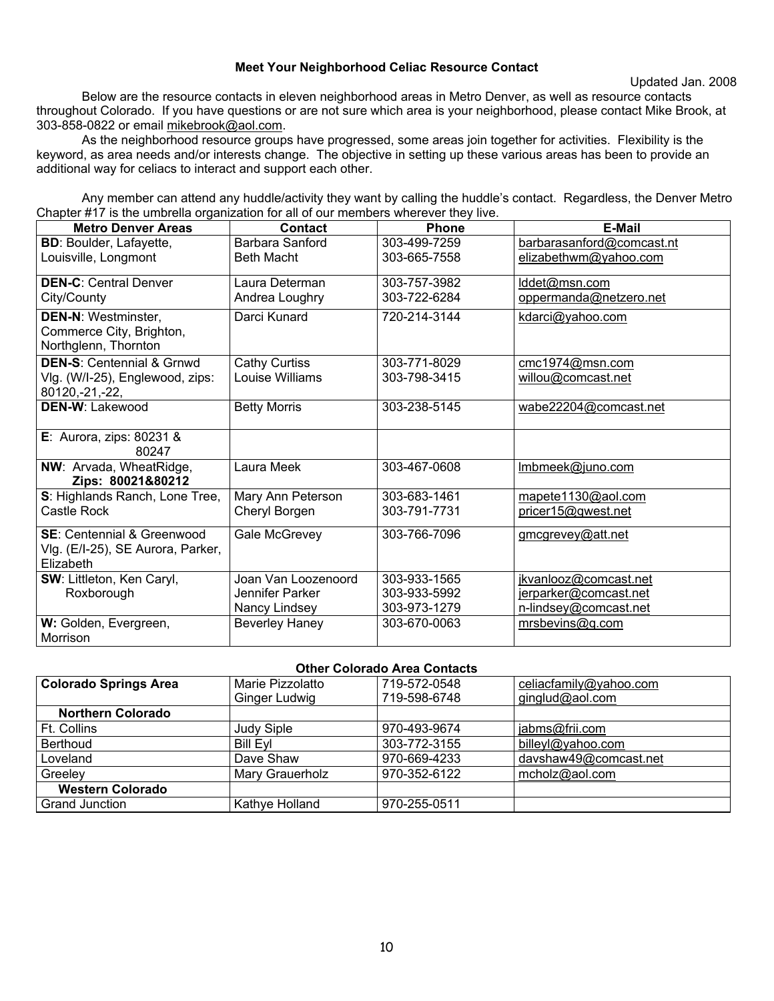### **Meet Your Neighborhood Celiac Resource Contact**

Below are the resource contacts in eleven neighborhood areas in Metro Denver, as well as resource contacts throughout Colorado. If you have questions or are not sure which area is your neighborhood, please contact Mike Brook, at 303-858-0822 or email mikebrook@aol.com.

 As the neighborhood resource groups have progressed, some areas join together for activities. Flexibility is the keyword, as area needs and/or interests change. The objective in setting up these various areas has been to provide an additional way for celiacs to interact and support each other.

 Any member can attend any huddle/activity they want by calling the huddle's contact. Regardless, the Denver Metro Chapter #17 is the umbrella organization for all of our members wherever they live.

| <b>Metro Denver Areas</b>                                                               | Contact               | <b>Phone</b> | <b>E-Mail</b>             |
|-----------------------------------------------------------------------------------------|-----------------------|--------------|---------------------------|
| <b>BD: Boulder, Lafayette,</b>                                                          | Barbara Sanford       | 303-499-7259 | barbarasanford@comcast.nt |
| Louisville, Longmont                                                                    | <b>Beth Macht</b>     | 303-665-7558 | elizabethwm@yahoo.com     |
| <b>DEN-C: Central Denver</b>                                                            | Laura Determan        | 303-757-3982 | lddet@msn.com             |
| City/County                                                                             | Andrea Loughry        | 303-722-6284 | oppermanda@netzero.net    |
| <b>DEN-N: Westminster,</b><br>Commerce City, Brighton,<br>Northglenn, Thornton          | Darci Kunard          | 720-214-3144 | kdarci@yahoo.com          |
| <b>DEN-S: Centennial &amp; Grnwd</b>                                                    | <b>Cathy Curtiss</b>  | 303-771-8029 | cmc1974@msn.com           |
| Vlg. (W/I-25), Englewood, zips:<br>80120, -21, -22,                                     | Louise Williams       | 303-798-3415 | willou@comcast.net        |
| <b>DEN-W: Lakewood</b>                                                                  | <b>Betty Morris</b>   | 303-238-5145 | wabe22204@comcast.net     |
| E: Aurora, zips: $80231$ &<br>80247                                                     |                       |              |                           |
| NW: Arvada, WheatRidge,<br>Zips: 80021&80212                                            | Laura Meek            | 303-467-0608 | Imbmeek@juno.com          |
| S: Highlands Ranch, Lone Tree,                                                          | Mary Ann Peterson     | 303-683-1461 | mapete1130@aol.com        |
| Castle Rock                                                                             | Cheryl Borgen         | 303-791-7731 | pricer15@qwest.net        |
| <b>SE: Centennial &amp; Greenwood</b><br>Vlg. (E/I-25), SE Aurora, Parker,<br>Elizabeth | Gale McGrevey         | 303-766-7096 | gmcgrevey@att.net         |
| SW: Littleton, Ken Caryl,                                                               | Joan Van Loozenoord   | 303-933-1565 | jkvanlooz@comcast.net     |
| Roxborough                                                                              | Jennifer Parker       | 303-933-5992 | jerparker@comcast.net     |
|                                                                                         | Nancy Lindsey         | 303-973-1279 | n-lindsey@comcast.net     |
| W: Golden, Evergreen,                                                                   | <b>Beverley Haney</b> | 303-670-0063 | mrsbevins@q.com           |
| Morrison                                                                                |                       |              |                           |

### **Other Colorado Area Contacts**

| <b>Colorado Springs Area</b> | Marie Pizzolatto  | 719-572-0548 | celiacfamily@yahoo.com |
|------------------------------|-------------------|--------------|------------------------|
|                              | Ginger Ludwig     | 719-598-6748 | ginglud@aol.com        |
| <b>Northern Colorado</b>     |                   |              |                        |
| Ft. Collins                  | <b>Judy Siple</b> | 970-493-9674 | jabms@frii.com         |
| <b>Berthoud</b>              | <b>Bill Evl</b>   | 303-772-3155 | billeyl@yahoo.com      |
| Loveland                     | Dave Shaw         | 970-669-4233 | davshaw49@comcast.net  |
| Greeley                      | Mary Grauerholz   | 970-352-6122 | mcholz@aol.com         |
| <b>Western Colorado</b>      |                   |              |                        |
| <b>Grand Junction</b>        | Kathye Holland    | 970-255-0511 |                        |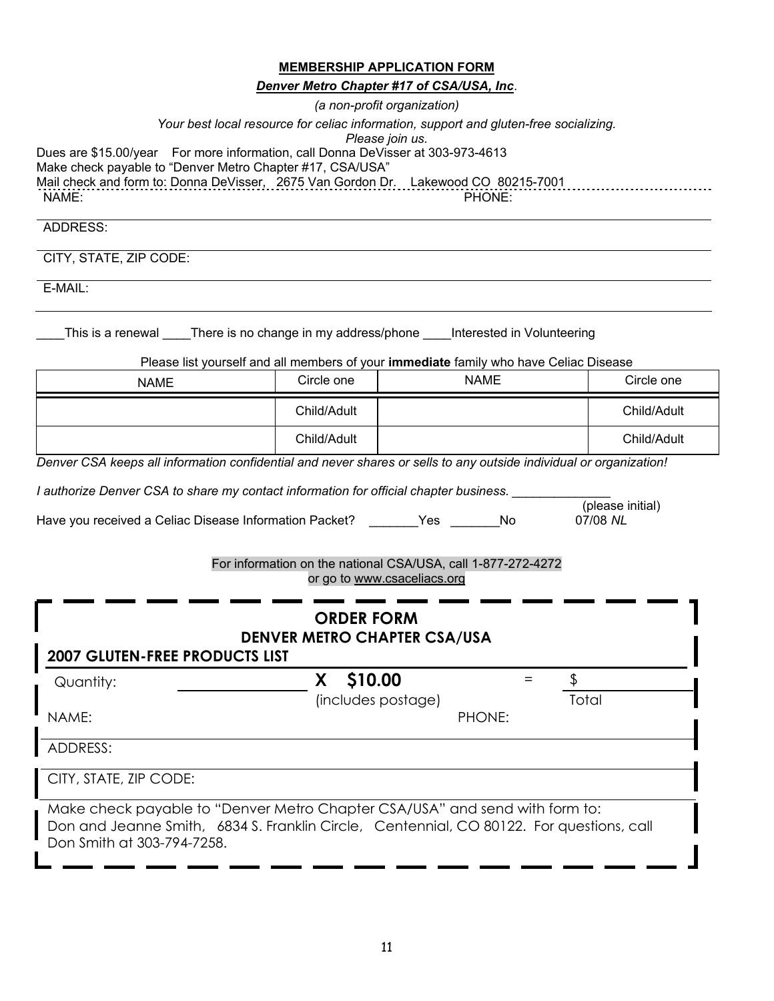|                                                                                                                                                                                                                                             |                    | <b>MEMBERSHIP APPLICATION FORM</b><br>Denver Metro Chapter #17 of CSA/USA, Inc.<br>(a non-profit organization) |                  |
|---------------------------------------------------------------------------------------------------------------------------------------------------------------------------------------------------------------------------------------------|--------------------|----------------------------------------------------------------------------------------------------------------|------------------|
|                                                                                                                                                                                                                                             |                    | Your best local resource for celiac information, support and gluten-free socializing.                          |                  |
| Dues are \$15.00/year For more information, call Donna DeVisser at 303-973-4613<br>Make check payable to "Denver Metro Chapter #17, CSA/USA"<br>Mail check and form to: Donna DeVisser, 2675 Van Gordon Dr. Lakewood CO 80215-7001<br>NAME: |                    | Please join us.<br>PHONE:                                                                                      |                  |
| ADDRESS:                                                                                                                                                                                                                                    |                    |                                                                                                                |                  |
| CITY, STATE, ZIP CODE:                                                                                                                                                                                                                      |                    |                                                                                                                |                  |
| E-MAIL:                                                                                                                                                                                                                                     |                    |                                                                                                                |                  |
| This is a renewal _____There is no change in my address/phone _____Interested in Volunteering                                                                                                                                               |                    | Please list yourself and all members of your immediate family who have Celiac Disease                          |                  |
| <b>NAME</b>                                                                                                                                                                                                                                 | Circle one         | <b>NAME</b>                                                                                                    | Circle one       |
|                                                                                                                                                                                                                                             | Child/Adult        |                                                                                                                | Child/Adult      |
|                                                                                                                                                                                                                                             | Child/Adult        |                                                                                                                | Child/Adult      |
| Denver CSA keeps all information confidential and never shares or sells to any outside individual or organization!                                                                                                                          |                    |                                                                                                                |                  |
| I authorize Denver CSA to share my contact information for official chapter business.                                                                                                                                                       |                    |                                                                                                                | (please initial) |
| Have you received a Celiac Disease Information Packet? ________ Yes _______                                                                                                                                                                 |                    | No                                                                                                             | 07/08 NL         |
|                                                                                                                                                                                                                                             |                    | For information on the national CSA/USA, call 1-877-272-4272<br>or go to www.csaceliacs.org                    |                  |
|                                                                                                                                                                                                                                             | <b>ORDER FORM</b>  |                                                                                                                |                  |
| <b>2007 GLUTEN-FREE PRODUCTS LIST</b>                                                                                                                                                                                                       |                    | <b>DENVER METRO CHAPTER CSA/USA</b>                                                                            |                  |
| Quantity:                                                                                                                                                                                                                                   | \$10.00<br>X.      | $=$                                                                                                            | \$               |
| NAME:                                                                                                                                                                                                                                       | (includes postage) | PHONE:                                                                                                         | Total            |
| <b>ADDRESS:</b>                                                                                                                                                                                                                             |                    |                                                                                                                |                  |
| CITY, STATE, ZIP CODE:                                                                                                                                                                                                                      |                    |                                                                                                                |                  |
| Make check payable to "Denyer Metro Chapter CSA/USA" and send with form to:                                                                                                                                                                 |                    |                                                                                                                |                  |

Make check payable to "Denver Metro Chapter CSA/USA" and send with form to: Don and Jeanne Smith, 6834 S. Franklin Circle, Centennial, CO 80122. For questions, call Don Smith at 303-794-7258.

I